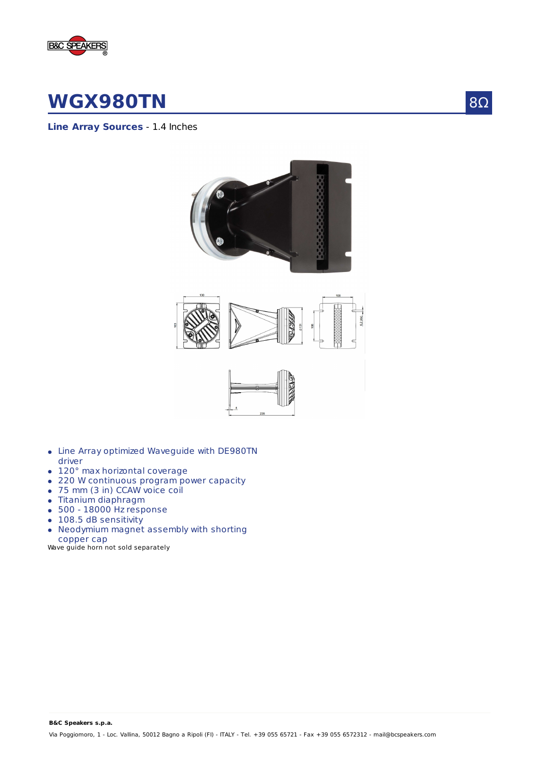

## **WGX980TN**

**Line Array Sources** - 1.4 Inches



- Line Array optimized Waveguide with DE980TN driver
- 120° max horizontal coverage
- 220 W continuous program power capacity
- 75 mm (3 in) CCAW voice coil
- Titanium diaphragm
- 500 18000 Hz response
- 108.5 dB sensitivity
- Neodymium magnet assembly with shorting copper cap

Wave guide horn not sold separately